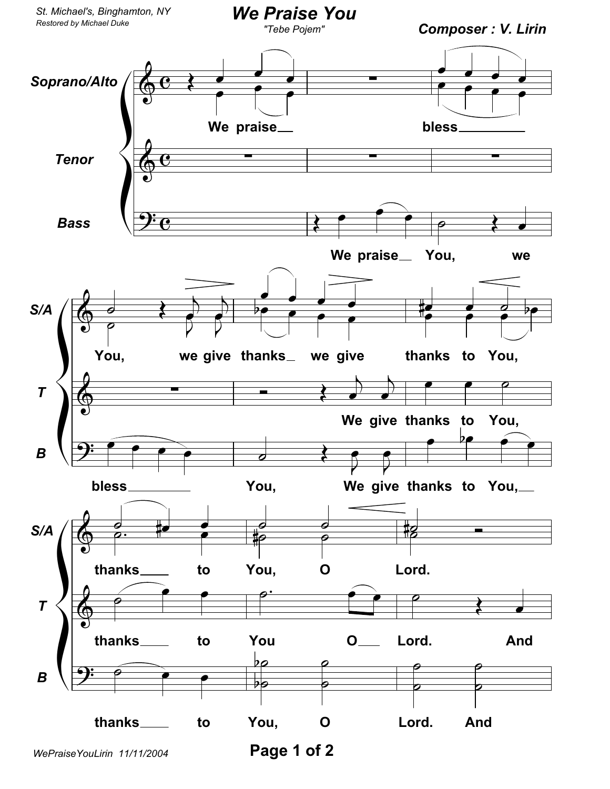